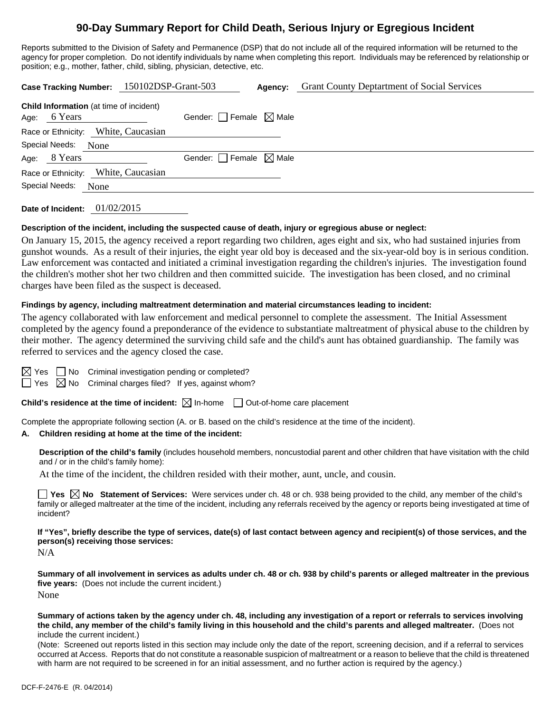## **90-Day Summary Report for Child Death, Serious Injury or Egregious Incident**

Reports submitted to the Division of Safety and Permanence (DSP) that do not include all of the required information will be returned to the agency for proper completion. Do not identify individuals by name when completing this report. Individuals may be referenced by relationship or position; e.g., mother, father, child, sibling, physician, detective, etc.

|                                                                   | Case Tracking Number: 150102DSP-Grant-503 | Agency: | <b>Grant County Deptartment of Social Services</b> |
|-------------------------------------------------------------------|-------------------------------------------|---------|----------------------------------------------------|
| <b>Child Information</b> (at time of incident)<br>6 Years<br>Age: | Gender: $\Box$ Female $\boxtimes$ Male    |         |                                                    |
| Race or Ethnicity: White, Caucasian                               |                                           |         |                                                    |
| Special Needs:<br>None                                            |                                           |         |                                                    |
| Age: 8 Years                                                      | Gender: $\Box$ Female $\boxtimes$ Male    |         |                                                    |
| Race or Ethnicity: White, Caucasian                               |                                           |         |                                                    |
| Special Needs:<br>None                                            |                                           |         |                                                    |
|                                                                   |                                           |         |                                                    |

**Date of Incident:** 01/02/2015

#### **Description of the incident, including the suspected cause of death, injury or egregious abuse or neglect:**

On January 15, 2015, the agency received a report regarding two children, ages eight and six, who had sustained injuries from gunshot wounds. As a result of their injuries, the eight year old boy is deceased and the six-year-old boy is in serious condition. Law enforcement was contacted and initiated a criminal investigation regarding the children's injuries. The investigation found the children's mother shot her two children and then committed suicide. The investigation has been closed, and no criminal charges have been filed as the suspect is deceased.

#### **Findings by agency, including maltreatment determination and material circumstances leading to incident:**

The agency collaborated with law enforcement and medical personnel to complete the assessment. The Initial Assessment completed by the agency found a preponderance of the evidence to substantiate maltreatment of physical abuse to the children by their mother. The agency determined the surviving child safe and the child's aunt has obtained guardianship. The family was referred to services and the agency closed the case.

 $\Box$  No Criminal investigation pending or completed?

 $\Box$  Yes  $\boxtimes$  No Criminal charges filed? If yes, against whom?

**Child's residence at the time of incident:**  $\boxtimes$  In-home  $\Box$  Out-of-home care placement

Complete the appropriate following section (A. or B. based on the child's residence at the time of the incident).

#### **A. Children residing at home at the time of the incident:**

**Description of the child's family** (includes household members, noncustodial parent and other children that have visitation with the child and / or in the child's family home):

At the time of the incident, the children resided with their mother, aunt, uncle, and cousin.

■ Yes **No** Statement of Services: Were services under ch. 48 or ch. 938 being provided to the child, any member of the child's family or alleged maltreater at the time of the incident, including any referrals received by the agency or reports being investigated at time of incident?

**If "Yes", briefly describe the type of services, date(s) of last contact between agency and recipient(s) of those services, and the person(s) receiving those services:** 

N/A

**Summary of all involvement in services as adults under ch. 48 or ch. 938 by child's parents or alleged maltreater in the previous five years:** (Does not include the current incident.) None

#### **Summary of actions taken by the agency under ch. 48, including any investigation of a report or referrals to services involving the child, any member of the child's family living in this household and the child's parents and alleged maltreater.** (Does not include the current incident.)

(Note: Screened out reports listed in this section may include only the date of the report, screening decision, and if a referral to services occurred at Access. Reports that do not constitute a reasonable suspicion of maltreatment or a reason to believe that the child is threatened with harm are not required to be screened in for an initial assessment, and no further action is required by the agency.)